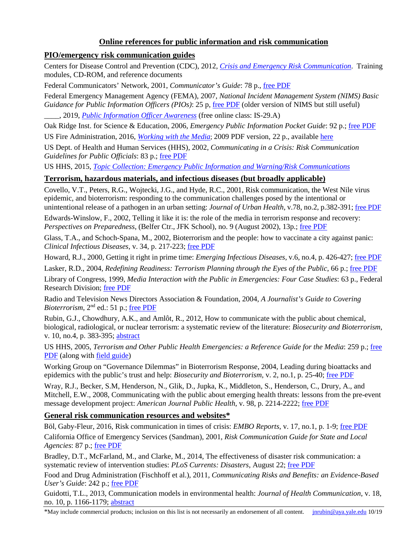# **Online references for public information and risk communication**

## **PIO/emergency risk communication guides**

Centers for Disease Control and Prevention (CDC), 2012, *[Crisis and Emergency Risk Communication](http://emergency.cdc.gov/cerc/)*. Training modules, CD-ROM, and reference documents

Federal Communicators' Network, 2001, *Communicator's Guide*: 78 p., [free PDF](http://govinfo.library.unt.edu/npr/library/papers/bkgrd/communicators.html)

Federal Emergency Management Agency (FEMA), 2007, *National Incident Management System (NIMS) Basic Guidance for Public Information Officers (PIOs)*: 25 p, [free PDF](http://www.fema.gov/library/viewRecord.do?id=3095) (older version of NIMS but still useful) \_\_\_\_, 2019, *[Public Information Officer Awareness](https://training.fema.gov/is/courseoverview.aspx?code=IS-29.a)* (free online class: IS-29.A)

Oak Ridge Inst. for Science & Education, 2006, *Emergency Public Information Pocket Guide*: 92 p.; [free PDF](http://www.orau.gov/cdcynergy/erc/Content/activeinformation/resources/EPIPocketGuide.pdf)

US Fire Administration, 2016, *[Working with the Media](http://www.usfa.fema.gov/prevention/working_with_the_media)*; 2009 PDF version, 22 p., available [here](http://www.cdc.gov/HomeandRecreationalSafety/pdf/FireSafetyPocketGuide-a.pdf)

US Dept. of Health and Human Services (HHS), 2002, *Communicating in a Crisis: Risk Communication Guidelines for Public Officials*: 83 p.; [free PDF](http://store.samhsa.gov/product/Risk-Communication-Guidelines-for-Public-Officials/SMA02-3641)

US HHS, 2015, *[Topic Collection: Emergency Public Information and Warning/Risk Communications](https://asprtracie.hhs.gov/technical-resources/79/Emncy-Public-Information-and-Warning-Risk-Communications/0)*

## **Terrorism, hazardous materials, and infectious diseases (but broadly applicable)**

Covello, V.T., Peters, R.G., Wojtecki, J.G., and Hyde, R.C., 2001, Risk communication, the West Nile virus epidemic, and bioterrorism: responding to the communication challenges posed by the intentional or unintentional release of a pathogen in an urban setting: *Journal of Urban Health*, v.78, no.2, p.382-391; [free PDF](http://centerforriskcommunication.org/publications/bioterrorism-pathogen-communications-response.pdf)

Edwards-Winslow, F., 2002, Telling it like it is: the role of the media in terrorism response and recovery: *Perspectives on Preparedness*, (Belfer Ctr., JFK School), no. 9 (August 2002), 13p.; [free PDF](http://www.belfercenter.org/files/role_of_the_media.pdf)

Glass, T.A., and Schoch-Spana, M., 2002, Bioterrorism and the people: how to vaccinate a city against panic: *Clinical Infectious Diseases*, v. 34, p. 217-223; [free PDF](http://cid.oxfordjournals.org/content/34/2/217.abstract)

Howard, R.J., 2000, Getting it right in prime time: *Emerging Infectious Diseases*, v.6, no.4, p. 426-427; free [PDF](http://wwwnc.cdc.gov/eid/article/6/4/00-0422_article.htm)

Lasker, R.D., 2004, *Redefining Readiness: Terrorism Planning through the Eyes of the Public*, 66 p.; [free PDF](http://tap.gallaudet.edu/emergency/nov05conference/EmergencyReports/RedefiningReadinessStudy.pdf)

Library of Congress, 1999, *Media Interaction with the Public in Emergencies: Four Case Studies*: 63 p., Federal Research Division; [free PDF](http://www.loc.gov/rr/frd/pdf-files/Media_Interaction.pdf)

Radio and Television News Directors Association & Foundation, 2004, *A Journalist's Guide to Covering Bioterrorism*, 2<sup>nd</sup> ed.: 51 p.; [free PDF](http://www.rtdna.org/uploads/files/bioguide.pdf)

Rubin, G.J., Chowdhury, A.K., and Amlôt, R., 2012, How to communicate with the public about chemical, biological, radiological, or nuclear terrorism: a systematic review of the literature: *Biosecurity and Bioterrorism*, v. 10, no.4, p. 383-395; [abstract](http://online.liebertpub.com/doi/abs/10.1089/bsp.2012.0043)

US HHS, 2005, *Terrorism and Other Public Health Emergencies: a Reference Guide for the Media*: 259 p.; [free](https://www.hsdl.org/?view&did=461236)  [PDF](https://www.hsdl.org/?view&did=461236) (along with [field guide\)](https://www.hsdl.org/?view&did=33484)

Working Group on "Governance Dilemmas" in Bioterrorism Response, 2004, Leading during bioattacks and epidemics with the public's trust and help: *Biosecurity and Bioterrorism*, v. 2, no.1, p. 25-40; [free PDF](https://www.liebertpub.com/doi/pdfplus/10.1089/153871304322964318)

Wray, R.J., Becker, S.M, Henderson, N., Glik, D., Jupka, K., Middleton, S., Henderson, C., Drury, A., and Mitchell, E.W., 2008, Communicating with the public about emerging health threats: lessons from the pre-event message development project: *American Journal Public Health*, v. 98, p. 2214-2222; [free PDF](https://ajph.aphapublications.org/doi/pdfplus/10.2105/AJPH.2006.107102)

## **General risk communication resources and websites\***

Böl, Gaby-Fleur, 2016, Risk communication in times of crisis: *EMBO Reports*, v. 17, no.1, p. 1-9; [free PDF](http://embor.embopress.org/content/17/1/1)

California Office of Emergency Services (Sandman), 2001, *Risk Communication Guide for State and Local Agencies*: 87 p.; [free PDF](http://www.caloes.ca.gov/PlanningPreparednessSite/Documents/RiskCommunicationGuideStateLocal2006.pdf)

Bradley, D.T., McFarland, M., and Clarke, M., 2014, The effectiveness of disaster risk communication: a systematic review of intervention studies: *PLoS Currents: Disasters*, August 22; [free PDF](http://currents.plos.org/disasters/article/the-effectiveness-of-disaster-risk-communication-a-systematic-review-of-intervention-studies/)

Food and Drug Administration (Fischhoff et al.), 2011, *Communicating Risks and Benefits: an Evidence-Based User's Guide*: 242 p.; [free PDF](http://www.fda.gov/AboutFDA/ReportsManualsForms/Reports/ucm268078.htm)

Guidotti, T.L., 2013, Communication models in environmental health: *Journal of Health Communication*, v. 18, no. 10, p. 1166-1179; [abstract](http://www.tandfonline.com/doi/abs/10.1080/10810730.2013.768725)